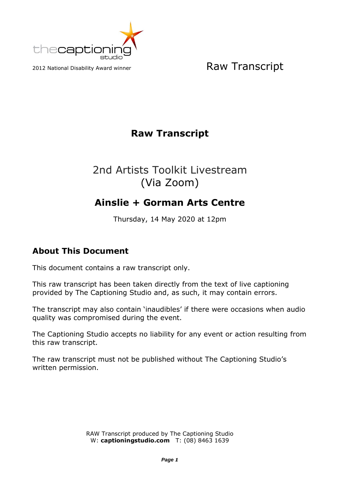

### **Raw Transcript**

# 2nd Artists Toolkit Livestream (Via Zoom)

## **Ainslie + Gorman Arts Centre**

Thursday, 14 May 2020 at 12pm

#### **About This Document**

This document contains a raw transcript only.

This raw transcript has been taken directly from the text of live captioning provided by The Captioning Studio and, as such, it may contain errors.

The transcript may also contain 'inaudibles' if there were occasions when audio quality was compromised during the event.

The Captioning Studio accepts no liability for any event or action resulting from this raw transcript.

The raw transcript must not be published without The Captioning Studio's written permission.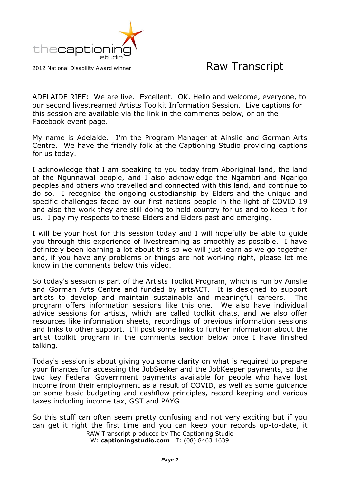

ADELAIDE RIEF: We are live. Excellent. OK. Hello and welcome, everyone, to our second livestreamed Artists Toolkit Information Session. Live captions for this session are available via the link in the comments below, or on the Facebook event page.

My name is Adelaide. I'm the Program Manager at Ainslie and Gorman Arts Centre. We have the friendly folk at the Captioning Studio providing captions for us today.

I acknowledge that I am speaking to you today from Aboriginal land, the land of the Ngunnawal people, and I also acknowledge the Ngambri and Ngarigo peoples and others who travelled and connected with this land, and continue to do so. I recognise the ongoing custodianship by Elders and the unique and specific challenges faced by our first nations people in the light of COVID 19 and also the work they are still doing to hold country for us and to keep it for us. I pay my respects to these Elders and Elders past and emerging.

I will be your host for this session today and I will hopefully be able to guide you through this experience of livestreaming as smoothly as possible. I have definitely been learning a lot about this so we will just learn as we go together and, if you have any problems or things are not working right, please let me know in the comments below this video.

So today's session is part of the Artists Toolkit Program, which is run by Ainslie and Gorman Arts Centre and funded by artsACT. It is designed to support artists to develop and maintain sustainable and meaningful careers. The program offers information sessions like this one. We also have individual advice sessions for artists, which are called toolkit chats, and we also offer resources like information sheets, recordings of previous information sessions and links to other support. I'll post some links to further information about the artist toolkit program in the comments section below once I have finished talking.

Today's session is about giving you some clarity on what is required to prepare your finances for accessing the JobSeeker and the JobKeeper payments, so the two key Federal Government payments available for people who have lost income from their employment as a result of COVID, as well as some guidance on some basic budgeting and cashflow principles, record keeping and various taxes including income tax, GST and PAYG.

So this stuff can often seem pretty confusing and not very exciting but if you can get it right the first time and you can keep your records up-to-date, it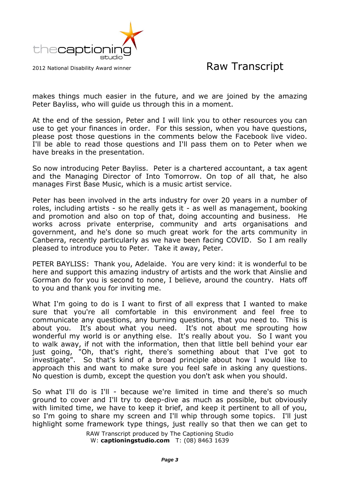

makes things much easier in the future, and we are joined by the amazing Peter Bayliss, who will guide us through this in a moment.

At the end of the session, Peter and I will link you to other resources you can use to get your finances in order. For this session, when you have questions, please post those questions in the comments below the Facebook live video. I'll be able to read those questions and I'll pass them on to Peter when we have breaks in the presentation.

So now introducing Peter Bayliss. Peter is a chartered accountant, a tax agent and the Managing Director of Into Tomorrow. On top of all that, he also manages First Base Music, which is a music artist service.

Peter has been involved in the arts industry for over 20 years in a number of roles, including artists - so he really gets it - as well as management, booking and promotion and also on top of that, doing accounting and business. He works across private enterprise, community and arts organisations and government, and he's done so much great work for the arts community in Canberra, recently particularly as we have been facing COVID. So I am really pleased to introduce you to Peter. Take it away, Peter.

PETER BAYLISS: Thank you, Adelaide. You are very kind: it is wonderful to be here and support this amazing industry of artists and the work that Ainslie and Gorman do for you is second to none, I believe, around the country. Hats off to you and thank you for inviting me.

What I'm going to do is I want to first of all express that I wanted to make sure that you're all comfortable in this environment and feel free to communicate any questions, any burning questions, that you need to. This is about you. It's about what you need. It's not about me sprouting how wonderful my world is or anything else. It's really about you. So I want you to walk away, if not with the information, then that little bell behind your ear just going, "Oh, that's right, there's something about that I've got to investigate". So that's kind of a broad principle about how I would like to approach this and want to make sure you feel safe in asking any questions. No question is dumb, except the question you don't ask when you should.

So what I'll do is I'll - because we're limited in time and there's so much ground to cover and I'll try to deep-dive as much as possible, but obviously with limited time, we have to keep it brief, and keep it pertinent to all of you, so I'm going to share my screen and I'll whip through some topics. I'll just highlight some framework type things, just really so that then we can get to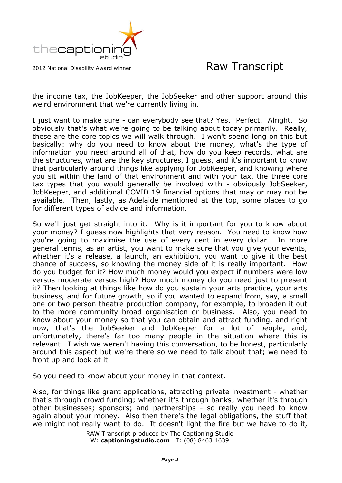

the income tax, the JobKeeper, the JobSeeker and other support around this weird environment that we're currently living in.

I just want to make sure - can everybody see that? Yes. Perfect. Alright. So obviously that's what we're going to be talking about today primarily. Really, these are the core topics we will walk through. I won't spend long on this but basically: why do you need to know about the money, what's the type of information you need around all of that, how do you keep records, what are the structures, what are the key structures, I guess, and it's important to know that particularly around things like applying for JobKeeper, and knowing where you sit within the land of that environment and with your tax, the three core tax types that you would generally be involved with - obviously JobSeeker, JobKeeper, and additional COVID 19 financial options that may or may not be available. Then, lastly, as Adelaide mentioned at the top, some places to go for different types of advice and information.

So we'll just get straight into it. Why is it important for you to know about your money? I guess now highlights that very reason. You need to know how you're going to maximise the use of every cent in every dollar. In more general terms, as an artist, you want to make sure that you give your events, whether it's a release, a launch, an exhibition, you want to give it the best chance of success, so knowing the money side of it is really important. How do you budget for it? How much money would you expect if numbers were low versus moderate versus high? How much money do you need just to present it? Then looking at things like how do you sustain your arts practice, your arts business, and for future growth, so if you wanted to expand from, say, a small one or two person theatre production company, for example, to broaden it out to the more community broad organisation or business. Also, you need to know about your money so that you can obtain and attract funding, and right now, that's the JobSeeker and JobKeeper for a lot of people, and, unfortunately, there's far too many people in the situation where this is relevant. I wish we weren't having this conversation, to be honest, particularly around this aspect but we're there so we need to talk about that; we need to front up and look at it.

So you need to know about your money in that context.

Also, for things like grant applications, attracting private investment - whether that's through crowd funding; whether it's through banks; whether it's through other businesses; sponsors; and partnerships - so really you need to know again about your money. Also then there's the legal obligations, the stuff that we might not really want to do. It doesn't light the fire but we have to do it,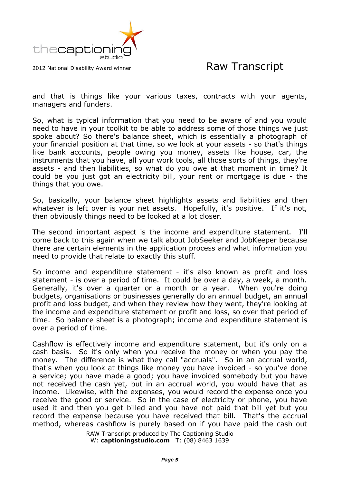

and that is things like your various taxes, contracts with your agents, managers and funders.

So, what is typical information that you need to be aware of and you would need to have in your toolkit to be able to address some of those things we just spoke about? So there's balance sheet, which is essentially a photograph of your financial position at that time, so we look at your assets - so that's things like bank accounts, people owing you money, assets like house, car, the instruments that you have, all your work tools, all those sorts of things, they're assets - and then liabilities, so what do you owe at that moment in time? It could be you just got an electricity bill, your rent or mortgage is due - the things that you owe.

So, basically, your balance sheet highlights assets and liabilities and then whatever is left over is your net assets. Hopefully, it's positive. If it's not, then obviously things need to be looked at a lot closer.

The second important aspect is the income and expenditure statement. I'll come back to this again when we talk about JobSeeker and JobKeeper because there are certain elements in the application process and what information you need to provide that relate to exactly this stuff.

So income and expenditure statement - it's also known as profit and loss statement - is over a period of time. It could be over a day, a week, a month. Generally, it's over a quarter or a month or a year. When you're doing budgets, organisations or businesses generally do an annual budget, an annual profit and loss budget, and when they review how they went, they're looking at the income and expenditure statement or profit and loss, so over that period of time. So balance sheet is a photograph; income and expenditure statement is over a period of time.

Cashflow is effectively income and expenditure statement, but it's only on a cash basis. So it's only when you receive the money or when you pay the money. The difference is what they call "accruals". So in an accrual world, that's when you look at things like money you have invoiced - so you've done a service; you have made a good; you have invoiced somebody but you have not received the cash yet, but in an accrual world, you would have that as income. Likewise, with the expenses, you would record the expense once you receive the good or service. So in the case of electricity or phone, you have used it and then you get billed and you have not paid that bill yet but you record the expense because you have received that bill. That's the accrual method, whereas cashflow is purely based on if you have paid the cash out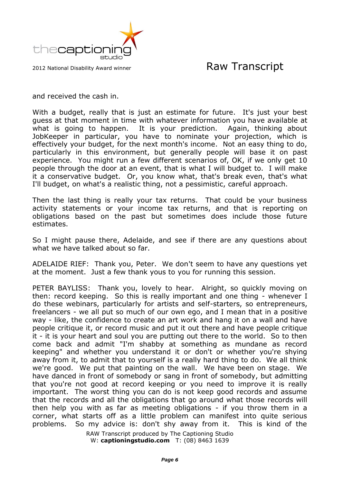

and received the cash in.

With a budget, really that is just an estimate for future. It's just your best guess at that moment in time with whatever information you have available at what is going to happen. It is your prediction. Again, thinking about JobKeeper in particular, you have to nominate your projection, which is effectively your budget, for the next month's income. Not an easy thing to do, particularly in this environment, but generally people will base it on past experience. You might run a few different scenarios of, OK, if we only get 10 people through the door at an event, that is what I will budget to. I will make it a conservative budget. Or, you know what, that's break even, that's what I'll budget, on what's a realistic thing, not a pessimistic, careful approach.

Then the last thing is really your tax returns. That could be your business activity statements or your income tax returns, and that is reporting on obligations based on the past but sometimes does include those future estimates.

So I might pause there, Adelaide, and see if there are any questions about what we have talked about so far.

ADELAIDE RIEF: Thank you, Peter. We don't seem to have any questions yet at the moment. Just a few thank yous to you for running this session.

PETER BAYLISS: Thank you, lovely to hear. Alright, so quickly moving on then: record keeping. So this is really important and one thing - whenever I do these webinars, particularly for artists and self-starters, so entrepreneurs, freelancers - we all put so much of our own ego, and I mean that in a positive way - like, the confidence to create an art work and hang it on a wall and have people critique it, or record music and put it out there and have people critique it - it is your heart and soul you are putting out there to the world. So to then come back and admit "I'm shabby at something as mundane as record keeping" and whether you understand it or don't or whether you're shying away from it, to admit that to yourself is a really hard thing to do. We all think we're good. We put that painting on the wall. We have been on stage. We have danced in front of somebody or sang in front of somebody, but admitting that you're not good at record keeping or you need to improve it is really important. The worst thing you can do is not keep good records and assume that the records and all the obligations that go around what those records will then help you with as far as meeting obligations - if you throw them in a corner, what starts off as a little problem can manifest into quite serious problems. So my advice is: don't shy away from it. This is kind of the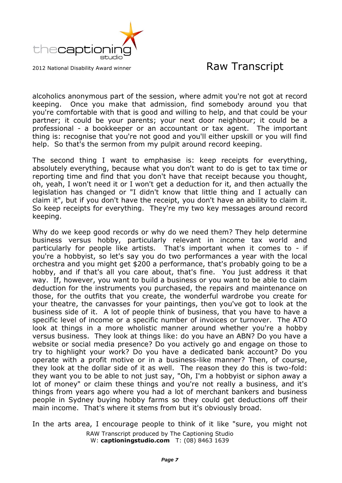

alcoholics anonymous part of the session, where admit you're not got at record keeping. Once you make that admission, find somebody around you that you're comfortable with that is good and willing to help, and that could be your partner; it could be your parents; your next door neighbour; it could be a professional - a bookkeeper or an accountant or tax agent. The important thing is: recognise that you're not good and you'll either upskill or you will find help. So that's the sermon from my pulpit around record keeping.

The second thing I want to emphasise is: keep receipts for everything, absolutely everything, because what you don't want to do is get to tax time or reporting time and find that you don't have that receipt because you thought, oh, yeah, I won't need it or I won't get a deduction for it, and then actually the legislation has changed or "I didn't know that little thing and I actually can claim it", but if you don't have the receipt, you don't have an ability to claim it. So keep receipts for everything. They're my two key messages around record keeping.

Why do we keep good records or why do we need them? They help determine business versus hobby, particularly relevant in income tax world and particularly for people like artists. That's important when it comes to - if you're a hobbyist, so let's say you do two performances a year with the local orchestra and you might get \$200 a performance, that's probably going to be a hobby, and if that's all you care about, that's fine. You just address it that way. If, however, you want to build a business or you want to be able to claim deduction for the instruments you purchased, the repairs and maintenance on those, for the outfits that you create, the wonderful wardrobe you create for your theatre, the canvasses for your paintings, then you've got to look at the business side of it. A lot of people think of business, that you have to have a specific level of income or a specific number of invoices or turnover. The ATO look at things in a more wholistic manner around whether you're a hobby versus business. They look at things like: do you have an ABN? Do you have a website or social media presence? Do you actively go and engage on those to try to highlight your work? Do you have a dedicated bank account? Do you operate with a profit motive or in a business-like manner? Then, of course, they look at the dollar side of it as well. The reason they do this is two-fold: they want you to be able to not just say, "Oh, I'm a hobbyist or siphon away a lot of money" or claim these things and you're not really a business, and it's things from years ago where you had a lot of merchant bankers and business people in Sydney buying hobby farms so they could get deductions off their main income. That's where it stems from but it's obviously broad.

RAW Transcript produced by The Captioning Studio W: **captioningstudio.com** T: (08) 8463 1639 In the arts area, I encourage people to think of it like "sure, you might not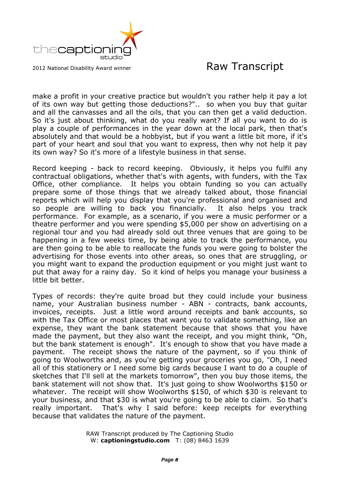

make a profit in your creative practice but wouldn't you rather help it pay a lot of its own way but getting those deductions?".. so when you buy that guitar and all the canvasses and all the oils, that you can then get a valid deduction. So it's just about thinking, what do you really want? If all you want to do is play a couple of performances in the year down at the local park, then that's absolutely and that would be a hobbyist, but if you want a little bit more, if it's part of your heart and soul that you want to express, then why not help it pay its own way? So it's more of a lifestyle business in that sense.

Record keeping - back to record keeping. Obviously, it helps you fulfil any contractual obligations, whether that's with agents, with funders, with the Tax Office, other compliance. It helps you obtain funding so you can actually prepare some of those things that we already talked about, those financial reports which will help you display that you're professional and organised and so people are willing to back you financially. It also helps you track performance. For example, as a scenario, if you were a music performer or a theatre performer and you were spending \$5,000 per show on advertising on a regional tour and you had already sold out three venues that are going to be happening in a few weeks time, by being able to track the performance, you are then going to be able to reallocate the funds you were going to bolster the advertising for those events into other areas, so ones that are struggling, or you might want to expand the production equipment or you might just want to put that away for a rainy day. So it kind of helps you manage your business a little bit better.

Types of records: they're quite broad but they could include your business name, your Australian business number - ABN - contracts, bank accounts, invoices, receipts. Just a little word around receipts and bank accounts, so with the Tax Office or most places that want you to validate something, like an expense, they want the bank statement because that shows that you have made the payment, but they also want the receipt, and you might think, "Oh, but the bank statement is enough". It's enough to show that you have made a payment. The receipt shows the nature of the payment, so if you think of going to Woolworths and, as you're getting your groceries you go, "Oh, I need all of this stationery or I need some big cards because I want to do a couple of sketches that I'll sell at the markets tomorrow", then you buy those items, the bank statement will not show that. It's just going to show Woolworths \$150 or whatever. The receipt will show Woolworths \$150, of which \$30 is relevant to your business, and that \$30 is what you're going to be able to claim. So that's really important. That's why I said before: keep receipts for everything because that validates the nature of the payment.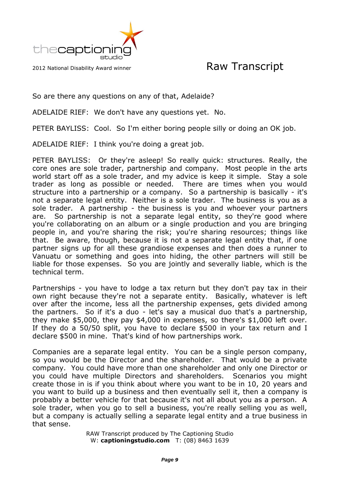

So are there any questions on any of that, Adelaide?

ADELAIDE RIEF: We don't have any questions yet. No.

PETER BAYLISS: Cool. So I'm either boring people silly or doing an OK job.

ADELAIDE RIEF: I think you're doing a great job.

PETER BAYLISS: Or they're asleep! So really quick: structures. Really, the core ones are sole trader, partnership and company. Most people in the arts world start off as a sole trader, and my advice is keep it simple. Stay a sole trader as long as possible or needed. There are times when you would structure into a partnership or a company. So a partnership is basically - it's not a separate legal entity. Neither is a sole trader. The business is you as a sole trader. A partnership - the business is you and whoever your partners are. So partnership is not a separate legal entity, so they're good where you're collaborating on an album or a single production and you are bringing people in, and you're sharing the risk; you're sharing resources; things like that. Be aware, though, because it is not a separate legal entity that, if one partner signs up for all these grandiose expenses and then does a runner to Vanuatu or something and goes into hiding, the other partners will still be liable for those expenses. So you are jointly and severally liable, which is the technical term.

Partnerships - you have to lodge a tax return but they don't pay tax in their own right because they're not a separate entity. Basically, whatever is left over after the income, less all the partnership expenses, gets divided among the partners. So if it's a duo - let's say a musical duo that's a partnership, they make \$5,000, they pay \$4,000 in expenses, so there's \$1,000 left over. If they do a 50/50 split, you have to declare \$500 in your tax return and I declare \$500 in mine. That's kind of how partnerships work.

Companies are a separate legal entity. You can be a single person company, so you would be the Director and the shareholder. That would be a private company. You could have more than one shareholder and only one Director or you could have multiple Directors and shareholders. Scenarios you might create those in is if you think about where you want to be in 10, 20 years and you want to build up a business and then eventually sell it, then a company is probably a better vehicle for that because it's not all about you as a person. A sole trader, when you go to sell a business, you're really selling you as well, but a company is actually selling a separate legal entity and a true business in that sense.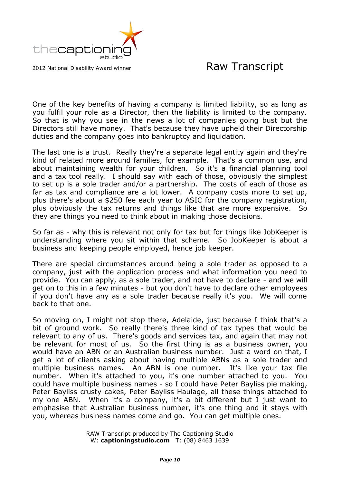

One of the key benefits of having a company is limited liability, so as long as you fulfil your role as a Director, then the liability is limited to the company. So that is why you see in the news a lot of companies going bust but the Directors still have money. That's because they have upheld their Directorship duties and the company goes into bankruptcy and liquidation.

The last one is a trust. Really they're a separate legal entity again and they're kind of related more around families, for example. That's a common use, and about maintaining wealth for your children. So it's a financial planning tool and a tax tool really. I should say with each of those, obviously the simplest to set up is a sole trader and/or a partnership. The costs of each of those as far as tax and compliance are a lot lower. A company costs more to set up, plus there's about a \$250 fee each year to ASIC for the company registration, plus obviously the tax returns and things like that are more expensive. So they are things you need to think about in making those decisions.

So far as - why this is relevant not only for tax but for things like JobKeeper is understanding where you sit within that scheme. So JobKeeper is about a business and keeping people employed, hence job keeper.

There are special circumstances around being a sole trader as opposed to a company, just with the application process and what information you need to provide. You can apply, as a sole trader, and not have to declare - and we will get on to this in a few minutes - but you don't have to declare other employees if you don't have any as a sole trader because really it's you. We will come back to that one.

So moving on, I might not stop there, Adelaide, just because I think that's a bit of ground work. So really there's three kind of tax types that would be relevant to any of us. There's goods and services tax, and again that may not be relevant for most of us. So the first thing is as a business owner, you would have an ABN or an Australian business number. Just a word on that, I get a lot of clients asking about having multiple ABNs as a sole trader and multiple business names. An ABN is one number. It's like your tax file number. When it's attached to you, it's one number attached to you. You could have multiple business names - so I could have Peter Bayliss pie making, Peter Bayliss crusty cakes, Peter Bayliss Haulage, all these things attached to my one ABN. When it's a company, it's a bit different but I just want to emphasise that Australian business number, it's one thing and it stays with you, whereas business names come and go. You can get multiple ones.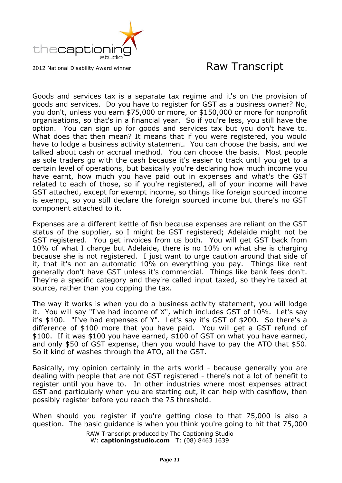

Goods and services tax is a separate tax regime and it's on the provision of goods and services. Do you have to register for GST as a business owner? No, you don't, unless you earn \$75,000 or more, or \$150,000 or more for nonprofit organisations, so that's in a financial year. So if you're less, you still have the option. You can sign up for goods and services tax but you don't have to. What does that then mean? It means that if you were registered, you would have to lodge a business activity statement. You can choose the basis, and we talked about cash or accrual method. You can choose the basis. Most people as sole traders go with the cash because it's easier to track until you get to a certain level of operations, but basically you're declaring how much income you have earnt, how much you have paid out in expenses and what's the GST related to each of those, so if you're registered, all of your income will have GST attached, except for exempt income, so things like foreign sourced income is exempt, so you still declare the foreign sourced income but there's no GST component attached to it.

Expenses are a different kettle of fish because expenses are reliant on the GST status of the supplier, so I might be GST registered; Adelaide might not be GST registered. You get invoices from us both. You will get GST back from 10% of what I charge but Adelaide, there is no 10% on what she is charging because she is not registered. I just want to urge caution around that side of it, that it's not an automatic 10% on everything you pay. Things like rent generally don't have GST unless it's commercial. Things like bank fees don't. They're a specific category and they're called input taxed, so they're taxed at source, rather than you copping the tax.

The way it works is when you do a business activity statement, you will lodge it. You will say "I've had income of X", which includes GST of 10%. Let's say it's \$100. "I've had expenses of Y". Let's say it's GST of \$200. So there's a difference of \$100 more that you have paid. You will get a GST refund of \$100. If it was \$100 you have earned, \$100 of GST on what you have earned, and only \$50 of GST expense, then you would have to pay the ATO that \$50. So it kind of washes through the ATO, all the GST.

Basically, my opinion certainly in the arts world - because generally you are dealing with people that are not GST registered - there's not a lot of benefit to register until you have to. In other industries where most expenses attract GST and particularly when you are starting out, it can help with cashflow, then possibly register before you reach the 75 threshold.

When should you register if you're getting close to that 75,000 is also a question. The basic guidance is when you think you're going to hit that 75,000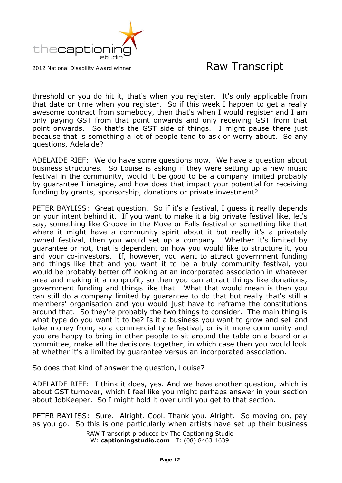

threshold or you do hit it, that's when you register. It's only applicable from that date or time when you register. So if this week I happen to get a really awesome contract from somebody, then that's when I would register and I am only paying GST from that point onwards and only receiving GST from that point onwards. So that's the GST side of things. I might pause there just because that is something a lot of people tend to ask or worry about. So any questions, Adelaide?

ADELAIDE RIEF: We do have some questions now. We have a question about business structures. So Louise is asking if they were setting up a new music festival in the community, would it be good to be a company limited probably by guarantee I imagine, and how does that impact your potential for receiving funding by grants, sponsorship, donations or private investment?

PETER BAYLISS: Great question. So if it's a festival, I guess it really depends on your intent behind it. If you want to make it a big private festival like, let's say, something like Groove in the Move or Falls festival or something like that where it might have a community spirit about it but really it's a privately owned festival, then you would set up a company. Whether it's limited by guarantee or not, that is dependent on how you would like to structure it, you and your co-investors. If, however, you want to attract government funding and things like that and you want it to be a truly community festival, you would be probably better off looking at an incorporated association in whatever area and making it a nonprofit, so then you can attract things like donations, government funding and things like that. What that would mean is then you can still do a company limited by guarantee to do that but really that's still a members' organisation and you would just have to reframe the constitutions around that. So they're probably the two things to consider. The main thing is what type do you want it to be? Is it a business you want to grow and sell and take money from, so a commercial type festival, or is it more community and you are happy to bring in other people to sit around the table on a board or a committee, make all the decisions together, in which case then you would look at whether it's a limited by guarantee versus an incorporated association.

So does that kind of answer the question, Louise?

ADELAIDE RIEF: I think it does, yes. And we have another question, which is about GST turnover, which I feel like you might perhaps answer in your section about JobKeeper. So I might hold it over until you get to that section.

PETER BAYLISS: Sure. Alright. Cool. Thank you. Alright. So moving on, pay as you go. So this is one particularly when artists have set up their business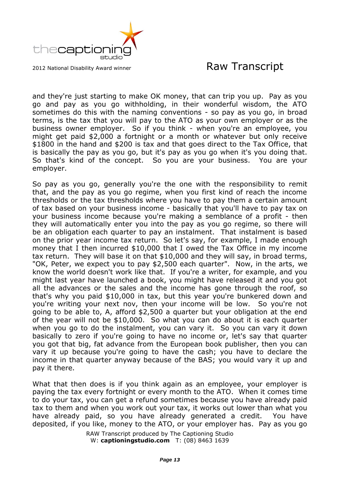

and they're just starting to make OK money, that can trip you up. Pay as you go and pay as you go withholding, in their wonderful wisdom, the ATO sometimes do this with the naming conventions - so pay as you go, in broad terms, is the tax that you will pay to the ATO as your own employer or as the business owner employer. So if you think - when you're an employee, you might get paid \$2,000 a fortnight or a month or whatever but only receive \$1800 in the hand and \$200 is tax and that goes direct to the Tax Office, that is basically the pay as you go, but it's pay as you go when it's you doing that. So that's kind of the concept. So you are your business. You are your employer.

So pay as you go, generally you're the one with the responsibility to remit that, and the pay as you go regime, when you first kind of reach the income thresholds or the tax thresholds where you have to pay them a certain amount of tax based on your business income - basically that you'll have to pay tax on your business income because you're making a semblance of a profit - then they will automatically enter you into the pay as you go regime, so there will be an obligation each quarter to pay an instalment. That instalment is based on the prior year income tax return. So let's say, for example, I made enough money that I then incurred \$10,000 that I owed the Tax Office in my income tax return. They will base it on that \$10,000 and they will say, in broad terms, "OK, Peter, we expect you to pay \$2,500 each quarter". Now, in the arts, we know the world doesn't work like that. If you're a writer, for example, and you might last year have launched a book, you might have released it and you got all the advances or the sales and the income has gone through the roof, so that's why you paid \$10,000 in tax, but this year you're bunkered down and you're writing your next nov, then your income will be low. So you're not going to be able to, A, afford \$2,500 a quarter but your obligation at the end of the year will not be \$10,000. So what you can do about it is each quarter when you go to do the instalment, you can vary it. So you can vary it down basically to zero if you're going to have no income or, let's say that quarter you got that big, fat advance from the European book publisher, then you can vary it up because you're going to have the cash; you have to declare the income in that quarter anyway because of the BAS; you would vary it up and pay it there.

What that then does is if you think again as an employee, your employer is paying the tax every fortnight or every month to the ATO. When it comes time to do your tax, you can get a refund sometimes because you have already paid tax to them and when you work out your tax, it works out lower than what you have already paid, so you have already generated a credit. You have deposited, if you like, money to the ATO, or your employer has. Pay as you go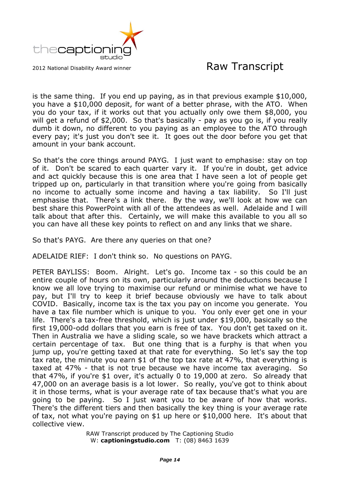

is the same thing. If you end up paying, as in that previous example \$10,000, you have a \$10,000 deposit, for want of a better phrase, with the ATO. When you do your tax, if it works out that you actually only owe them \$8,000, you will get a refund of \$2,000. So that's basically - pay as you go is, if you really dumb it down, no different to you paying as an employee to the ATO through every pay; it's just you don't see it. It goes out the door before you get that amount in your bank account.

So that's the core things around PAYG. I just want to emphasise: stay on top of it. Don't be scared to each quarter vary it. If you're in doubt, get advice and act quickly because this is one area that I have seen a lot of people get tripped up on, particularly in that transition where you're going from basically no income to actually some income and having a tax liability. So I'll just emphasise that. There's a link there. By the way, we'll look at how we can best share this PowerPoint with all of the attendees as well. Adelaide and I will talk about that after this. Certainly, we will make this available to you all so you can have all these key points to reflect on and any links that we share.

So that's PAYG. Are there any queries on that one?

ADELAIDE RIEF: I don't think so. No questions on PAYG.

PETER BAYLISS: Boom. Alright. Let's go. Income tax - so this could be an entire couple of hours on its own, particularly around the deductions because I know we all love trying to maximise our refund or minimise what we have to pay, but I'll try to keep it brief because obviously we have to talk about COVID. Basically, income tax is the tax you pay on income you generate. You have a tax file number which is unique to you. You only ever get one in your life. There's a tax-free threshold, which is just under \$19,000, basically so the first 19,000-odd dollars that you earn is free of tax. You don't get taxed on it. Then in Australia we have a sliding scale, so we have brackets which attract a certain percentage of tax. But one thing that is a furphy is that when you jump up, you're getting taxed at that rate for everything. So let's say the top tax rate, the minute you earn \$1 of the top tax rate at 47%, that everything is taxed at 47% - that is not true because we have income tax averaging. So that 47%, if you're \$1 over, it's actually 0 to 19,000 at zero. So already that 47,000 on an average basis is a lot lower. So really, you've got to think about it in those terms, what is your average rate of tax because that's what you are going to be paying. So I just want you to be aware of how that works. There's the different tiers and then basically the key thing is your average rate of tax, not what you're paying on \$1 up here or \$10,000 here. It's about that collective view.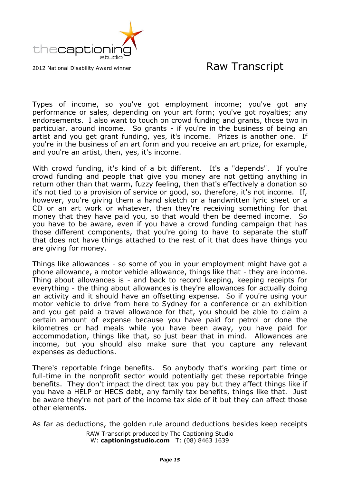

Types of income, so you've got employment income; you've got any performance or sales, depending on your art form; you've got royalties; any endorsements. I also want to touch on crowd funding and grants, those two in particular, around income. So grants - if you're in the business of being an artist and you get grant funding, yes, it's income. Prizes is another one. If you're in the business of an art form and you receive an art prize, for example, and you're an artist, then, yes, it's income.

With crowd funding, it's kind of a bit different. It's a "depends". If you're crowd funding and people that give you money are not getting anything in return other than that warm, fuzzy feeling, then that's effectively a donation so it's not tied to a provision of service or good, so, therefore, it's not income. If, however, you're giving them a hand sketch or a handwritten lyric sheet or a CD or an art work or whatever, then they're receiving something for that money that they have paid you, so that would then be deemed income. So you have to be aware, even if you have a crowd funding campaign that has those different components, that you're going to have to separate the stuff that does not have things attached to the rest of it that does have things you are giving for money.

Things like allowances - so some of you in your employment might have got a phone allowance, a motor vehicle allowance, things like that - they are income. Thing about allowances is - and back to record keeping, keeping receipts for everything - the thing about allowances is they're allowances for actually doing an activity and it should have an offsetting expense. So if you're using your motor vehicle to drive from here to Sydney for a conference or an exhibition and you get paid a travel allowance for that, you should be able to claim a certain amount of expense because you have paid for petrol or done the kilometres or had meals while you have been away, you have paid for accommodation, things like that, so just bear that in mind. Allowances are income, but you should also make sure that you capture any relevant expenses as deductions.

There's reportable fringe benefits. So anybody that's working part time or full-time in the nonprofit sector would potentially get these reportable fringe benefits. They don't impact the direct tax you pay but they affect things like if you have a HELP or HECS debt, any family tax benefits, things like that. Just be aware they're not part of the income tax side of it but they can affect those other elements.

RAW Transcript produced by The Captioning Studio W: **captioningstudio.com** T: (08) 8463 1639 As far as deductions, the golden rule around deductions besides keep receipts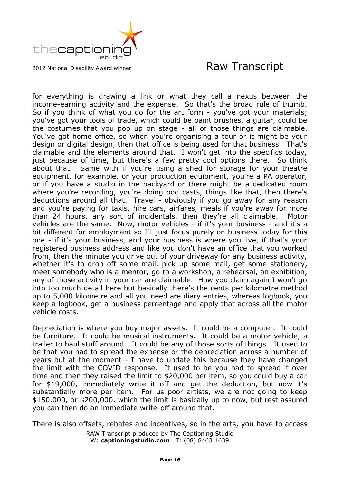

for everything is drawing a link or what they call a nexus between the income-earning activity and the expense. So that's the broad rule of thumb. So if you think of what you do for the art form - you've got your materials; you've got your tools of trade, which could be paint brushes, a guitar, could be the costumes that you pop up on stage - all of those things are claimable. You've got home office, so when you're organising a tour or it might be your design or digital design, then that office is being used for that business. That's claimable and the elements around that. I won't get into the specifics today, just because of time, but there's a few pretty cool options there. So think about that. Same with if you're using a shed for storage for your theatre equipment, for example, or your production equipment, you're a PA operator, or if you have a studio in the backyard or there might be a dedicated room where you're recording, you're doing pod casts, things like that, then there's deductions around all that. Travel - obviously if you go away for any reason and you're paying for taxis, hire cars, airfares, meals if you're away for more than 24 hours, any sort of incidentals, then they're all claimable. Motor vehicles are the same. Now, motor vehicles - if it's your business - and it's a bit different for employment so I'll just focus purely on business today for this one - if it's your business, and your business is where you live, if that's your registered business address and like you don't have an office that you worked from, then the minute you drive out of your driveway for any business activity, whether it's to drop off some mail, pick up some mail, get some stationery, meet somebody who is a mentor, go to a workshop, a rehearsal, an exhibition, any of those activity in your car are claimable. How you claim again I won't go into too much detail here but basically there's the cents per kilometre method up to 5,000 kilometre and all you need are diary entries, whereas logbook, you keep a logbook, get a business percentage and apply that across all the motor vehicle costs.

Depreciation is where you buy major assets. It could be a computer. It could be furniture. It could be musical instruments. It could be a motor vehicle, a trailer to haul stuff around. It could be any of those sorts of things. It used to be that you had to spread the expense or the depreciation across a number of years but at the moment - I have to update this because they have changed the limit with the COVID response. It used to be you had to spread it over time and then they raised the limit to \$20,000 per item, so you could buy a car for \$19,000, immediately write it off and get the deduction, but now it's substantially more per item. For us poor artists, we are not going to keep \$150,000, or \$200,000, which the limit is basically up to now, but rest assured you can then do an immediate write-off around that.

RAW Transcript produced by The Captioning Studio There is also offsets, rebates and incentives, so in the arts, you have to access

W: **captioningstudio.com** T: (08) 8463 1639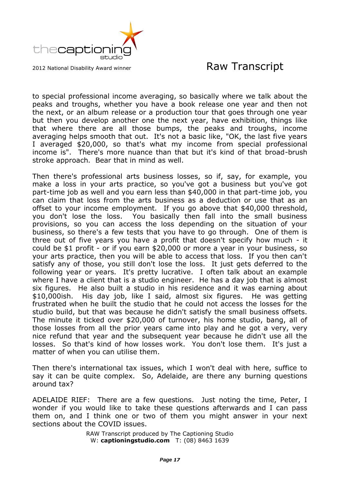

to special professional income averaging, so basically where we talk about the peaks and troughs, whether you have a book release one year and then not the next, or an album release or a production tour that goes through one year but then you develop another one the next year, have exhibition, things like that where there are all those bumps, the peaks and troughs, income averaging helps smooth that out. It's not a basic like, "OK, the last five years I averaged \$20,000, so that's what my income from special professional income is". There's more nuance than that but it's kind of that broad-brush stroke approach. Bear that in mind as well.

Then there's professional arts business losses, so if, say, for example, you make a loss in your arts practice, so you've got a business but you've got part-time job as well and you earn less than \$40,000 in that part-time job, you can claim that loss from the arts business as a deduction or use that as an offset to your income employment. If you go above that \$40,000 threshold, you don't lose the loss. You basically then fall into the small business provisions, so you can access the loss depending on the situation of your business, so there's a few tests that you have to go through. One of them is three out of five years you have a profit that doesn't specify how much - it could be \$1 profit - or if you earn \$20,000 or more a year in your business, so your arts practice, then you will be able to access that loss. If you then can't satisfy any of those, you still don't lose the loss. It just gets deferred to the following year or years. It's pretty lucrative. I often talk about an example where I have a client that is a studio engineer. He has a day job that is almost six figures. He also built a studio in his residence and it was earning about \$10,000ish. His day job, like I said, almost six figures. He was getting frustrated when he built the studio that he could not access the losses for the studio build, but that was because he didn't satisfy the small business offsets. The minute it ticked over \$20,000 of turnover, his home studio, bang, all of those losses from all the prior years came into play and he got a very, very nice refund that year and the subsequent year because he didn't use all the losses. So that's kind of how losses work. You don't lose them. It's just a matter of when you can utilise them.

Then there's international tax issues, which I won't deal with here, suffice to say it can be quite complex. So, Adelaide, are there any burning questions around tax?

ADELAIDE RIEF: There are a few questions. Just noting the time, Peter, I wonder if you would like to take these questions afterwards and I can pass them on, and I think one or two of them you might answer in your next sections about the COVID issues.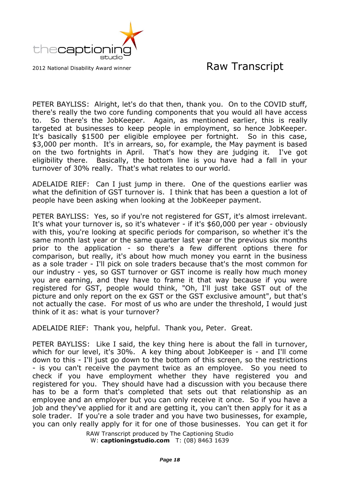

PETER BAYLISS: Alright, let's do that then, thank you. On to the COVID stuff, there's really the two core funding components that you would all have access to. So there's the JobKeeper. Again, as mentioned earlier, this is really targeted at businesses to keep people in employment, so hence JobKeeper. It's basically \$1500 per eligible employee per fortnight. So in this case, \$3,000 per month. It's in arrears, so, for example, the May payment is based on the two fortnights in April. That's how they are judging it. I've got eligibility there. Basically, the bottom line is you have had a fall in your turnover of 30% really. That's what relates to our world.

ADELAIDE RIEF: Can I just jump in there. One of the questions earlier was what the definition of GST turnover is. I think that has been a question a lot of people have been asking when looking at the JobKeeper payment.

PETER BAYLISS: Yes, so if you're not registered for GST, it's almost irrelevant. It's what your turnover is, so it's whatever - if it's \$60,000 per year - obviously with this, you're looking at specific periods for comparison, so whether it's the same month last year or the same quarter last year or the previous six months prior to the application - so there's a few different options there for comparison, but really, it's about how much money you earnt in the business as a sole trader - I'll pick on sole traders because that's the most common for our industry - yes, so GST turnover or GST income is really how much money you are earning, and they have to frame it that way because if you were registered for GST, people would think, "Oh, I'll just take GST out of the picture and only report on the ex GST or the GST exclusive amount", but that's not actually the case. For most of us who are under the threshold, I would just think of it as: what is your turnover?

ADELAIDE RIEF: Thank you, helpful. Thank you, Peter. Great.

PETER BAYLISS: Like I said, the key thing here is about the fall in turnover, which for our level, it's 30%. A key thing about JobKeeper is - and I'll come down to this - I'll just go down to the bottom of this screen, so the restrictions - is you can't receive the payment twice as an employee. So you need to check if you have employment whether they have registered you and registered for you. They should have had a discussion with you because there has to be a form that's completed that sets out that relationship as an employee and an employer but you can only receive it once. So if you have a job and they've applied for it and are getting it, you can't then apply for it as a sole trader. If you're a sole trader and you have two businesses, for example, you can only really apply for it for one of those businesses. You can get it for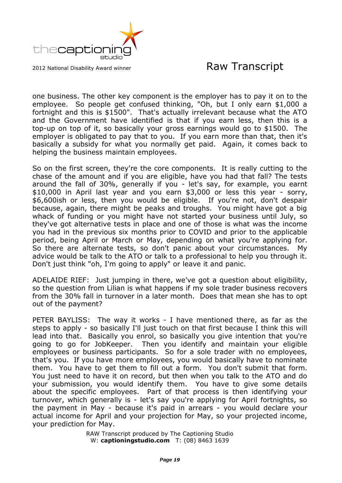

one business. The other key component is the employer has to pay it on to the employee. So people get confused thinking, "Oh, but I only earn \$1,000 a fortnight and this is \$1500". That's actually irrelevant because what the ATO and the Government have identified is that if you earn less, then this is a top-up on top of it, so basically your gross earnings would go to \$1500. The employer is obligated to pay that to you. If you earn more than that, then it's basically a subsidy for what you normally get paid. Again, it comes back to helping the business maintain employees.

So on the first screen, they're the core components. It is really cutting to the chase of the amount and if you are eligible, have you had that fall? The tests around the fall of 30%, generally if you - let's say, for example, you earnt \$10,000 in April last year and you earn \$3,000 or less this year - sorry, \$6,600ish or less, then you would be eligible. If you're not, don't despair because, again, there might be peaks and troughs. You might have got a big whack of funding or you might have not started your business until July, so they've got alternative tests in place and one of those is what was the income you had in the previous six months prior to COVID and prior to the applicable period, being April or March or May, depending on what you're applying for. So there are alternate tests, so don't panic about your circumstances. My advice would be talk to the ATO or talk to a professional to help you through it. Don't just think "oh, I'm going to apply" or leave it and panic.

ADELAIDE RIEF: Just jumping in there, we've got a question about eligibility, so the question from Lilian is what happens if my sole trader business recovers from the 30% fall in turnover in a later month. Does that mean she has to opt out of the payment?

PETER BAYLISS: The way it works - I have mentioned there, as far as the steps to apply - so basically I'll just touch on that first because I think this will lead into that. Basically you enrol, so basically you give intention that you're going to go for JobKeeper. Then you identify and maintain your eligible employees or business participants. So for a sole trader with no employees, that's you. If you have more employees, you would basically have to nominate them. You have to get them to fill out a form. You don't submit that form. You just need to have it on record, but then when you talk to the ATO and do your submission, you would identify them. You have to give some details about the specific employees. Part of that process is then identifying your turnover, which generally is - let's say you're applying for April fortnights, so the payment in May - because it's paid in arrears - you would declare your actual income for April and your projection for May, so your projected income, your prediction for May.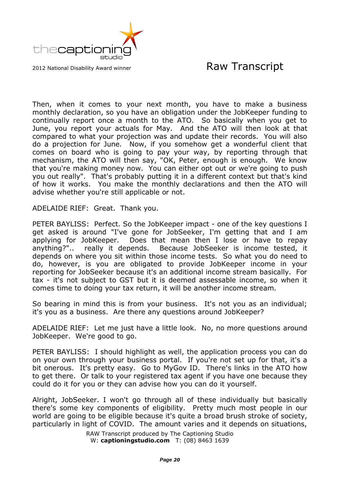

Then, when it comes to your next month, you have to make a business monthly declaration, so you have an obligation under the JobKeeper funding to continually report once a month to the ATO. So basically when you get to June, you report your actuals for May. And the ATO will then look at that compared to what your projection was and update their records. You will also do a projection for June. Now, if you somehow get a wonderful client that comes on board who is going to pay your way, by reporting through that mechanism, the ATO will then say, "OK, Peter, enough is enough. We know that you're making money now. You can either opt out or we're going to push you out really". That's probably putting it in a different context but that's kind of how it works. You make the monthly declarations and then the ATO will advise whether you're still applicable or not.

ADELAIDE RIEF: Great. Thank you.

PETER BAYLISS: Perfect. So the JobKeeper impact - one of the key questions I get asked is around "I've gone for JobSeeker, I'm getting that and I am applying for JobKeeper. Does that mean then I lose or have to repay anything?".. really it depends. Because JobSeeker is income tested, it depends on where you sit within those income tests. So what you do need to do, however, is you are obligated to provide JobKeeper income in your reporting for JobSeeker because it's an additional income stream basically. For tax - it's not subject to GST but it is deemed assessable income, so when it comes time to doing your tax return, it will be another income stream.

So bearing in mind this is from your business. It's not you as an individual; it's you as a business. Are there any questions around JobKeeper?

ADELAIDE RIEF: Let me just have a little look. No, no more questions around JobKeeper. We're good to go.

PETER BAYLISS: I should highlight as well, the application process you can do on your own through your business portal. If you're not set up for that, it's a bit onerous. It's pretty easy. Go to MyGov ID. There's links in the ATO how to get there. Or talk to your registered tax agent if you have one because they could do it for you or they can advise how you can do it yourself.

Alright, JobSeeker. I won't go through all of these individually but basically there's some key components of eligibility. Pretty much most people in our world are going to be eligible because it's quite a broad brush stroke of society, particularly in light of COVID. The amount varies and it depends on situations,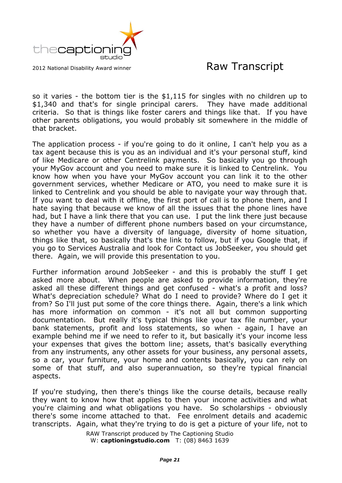

so it varies - the bottom tier is the \$1,115 for singles with no children up to \$1,340 and that's for single principal carers. They have made additional criteria. So that is things like foster carers and things like that. If you have other parents obligations, you would probably sit somewhere in the middle of that bracket.

The application process - if you're going to do it online, I can't help you as a tax agent because this is you as an individual and it's your personal stuff, kind of like Medicare or other Centrelink payments. So basically you go through your MyGov account and you need to make sure it is linked to Centrelink. You know how when you have your MyGov account you can link it to the other government services, whether Medicare or ATO, you need to make sure it is linked to Centrelink and you should be able to navigate your way through that. If you want to deal with it offline, the first port of call is to phone them, and I hate saying that because we know of all the issues that the phone lines have had, but I have a link there that you can use. I put the link there just because they have a number of different phone numbers based on your circumstance, so whether you have a diversity of language, diversity of home situation, things like that, so basically that's the link to follow, but if you Google that, if you go to Services Australia and look for Contact us JobSeeker, you should get there. Again, we will provide this presentation to you.

Further information around JobSeeker - and this is probably the stuff I get asked more about. When people are asked to provide information, they're asked all these different things and get confused - what's a profit and loss? What's depreciation schedule? What do I need to provide? Where do I get it from? So I'll just put some of the core things there. Again, there's a link which has more information on common - it's not all but common supporting documentation. But really it's typical things like your tax file number, your bank statements, profit and loss statements, so when - again, I have an example behind me if we need to refer to it, but basically it's your income less your expenses that gives the bottom line; assets, that's basically everything from any instruments, any other assets for your business, any personal assets, so a car, your furniture, your home and contents basically, you can rely on some of that stuff, and also superannuation, so they're typical financial aspects.

If you're studying, then there's things like the course details, because really they want to know how that applies to then your income activities and what you're claiming and what obligations you have. So scholarships - obviously there's some income attached to that. Fee enrolment details and academic transcripts. Again, what they're trying to do is get a picture of your life, not to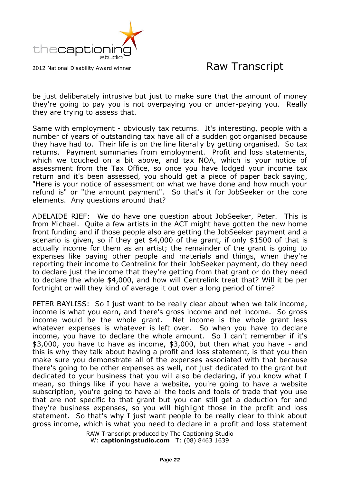

be just deliberately intrusive but just to make sure that the amount of money they're going to pay you is not overpaying you or under-paying you. Really they are trying to assess that.

Same with employment - obviously tax returns. It's interesting, people with a number of years of outstanding tax have all of a sudden got organised because they have had to. Their life is on the line literally by getting organised. So tax returns. Payment summaries from employment. Profit and loss statements, which we touched on a bit above, and tax NOA, which is your notice of assessment from the Tax Office, so once you have lodged your income tax return and it's been assessed, you should get a piece of paper back saying, "Here is your notice of assessment on what we have done and how much your refund is" or "the amount payment". So that's it for JobSeeker or the core elements. Any questions around that?

ADELAIDE RIEF: We do have one question about JobSeeker, Peter. This is from Michael. Quite a few artists in the ACT might have gotten the new home front funding and if those people also are getting the JobSeeker payment and a scenario is given, so if they get \$4,000 of the grant, if only \$1500 of that is actually income for them as an artist; the remainder of the grant is going to expenses like paying other people and materials and things, when they're reporting their income to Centrelink for their JobSeeker payment, do they need to declare just the income that they're getting from that grant or do they need to declare the whole \$4,000, and how will Centrelink treat that? Will it be per fortnight or will they kind of average it out over a long period of time?

PETER BAYLISS: So I just want to be really clear about when we talk income, income is what you earn, and there's gross income and net income. So gross income would be the whole grant. Net income is the whole grant less whatever expenses is whatever is left over. So when you have to declare income, you have to declare the whole amount. So I can't remember if it's \$3,000, you have to have as income, \$3,000, but then what you have - and this is why they talk about having a profit and loss statement, is that you then make sure you demonstrate all of the expenses associated with that because there's going to be other expenses as well, not just dedicated to the grant but dedicated to your business that you will also be declaring, if you know what I mean, so things like if you have a website, you're going to have a website subscription, you're going to have all the tools and tools of trade that you use that are not specific to that grant but you can still get a deduction for and they're business expenses, so you will highlight those in the profit and loss statement. So that's why I just want people to be really clear to think about gross income, which is what you need to declare in a profit and loss statement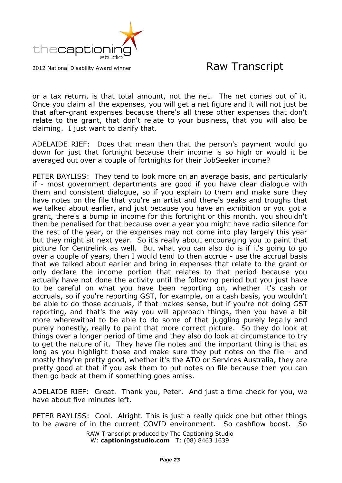

or a tax return, is that total amount, not the net. The net comes out of it. Once you claim all the expenses, you will get a net figure and it will not just be that after-grant expenses because there's all these other expenses that don't relate to the grant, that don't relate to your business, that you will also be claiming. I just want to clarify that.

ADELAIDE RIEF: Does that mean then that the person's payment would go down for just that fortnight because their income is so high or would it be averaged out over a couple of fortnights for their JobSeeker income?

PETER BAYLISS: They tend to look more on an average basis, and particularly if - most government departments are good if you have clear dialogue with them and consistent dialogue, so if you explain to them and make sure they have notes on the file that you're an artist and there's peaks and troughs that we talked about earlier, and just because you have an exhibition or you got a grant, there's a bump in income for this fortnight or this month, you shouldn't then be penalised for that because over a year you might have radio silence for the rest of the year, or the expenses may not come into play largely this year but they might sit next year. So it's really about encouraging you to paint that picture for Centrelink as well. But what you can also do is if it's going to go over a couple of years, then I would tend to then accrue - use the accrual basis that we talked about earlier and bring in expenses that relate to the grant or only declare the income portion that relates to that period because you actually have not done the activity until the following period but you just have to be careful on what you have been reporting on, whether it's cash or accruals, so if you're reporting GST, for example, on a cash basis, you wouldn't be able to do those accruals, if that makes sense, but if you're not doing GST reporting, and that's the way you will approach things, then you have a bit more wherewithal to be able to do some of that juggling purely legally and purely honestly, really to paint that more correct picture. So they do look at things over a longer period of time and they also do look at circumstance to try to get the nature of it. They have file notes and the important thing is that as long as you highlight those and make sure they put notes on the file - and mostly they're pretty good, whether it's the ATO or Services Australia, they are pretty good at that if you ask them to put notes on file because then you can then go back at them if something goes amiss.

ADELAIDE RIEF: Great. Thank you, Peter. And just a time check for you, we have about five minutes left.

PETER BAYLISS: Cool. Alright. This is just a really quick one but other things to be aware of in the current COVID environment. So cashflow boost. So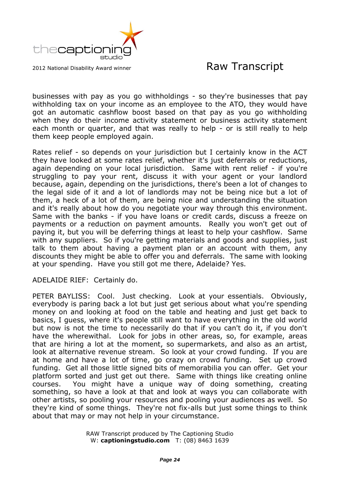

businesses with pay as you go withholdings - so they're businesses that pay withholding tax on your income as an employee to the ATO, they would have got an automatic cashflow boost based on that pay as you go withholding when they do their income activity statement or business activity statement each month or quarter, and that was really to help - or is still really to help them keep people employed again.

Rates relief - so depends on your jurisdiction but I certainly know in the ACT they have looked at some rates relief, whether it's just deferrals or reductions, again depending on your local jurisdiction. Same with rent relief - if you're struggling to pay your rent, discuss it with your agent or your landlord because, again, depending on the jurisdictions, there's been a lot of changes to the legal side of it and a lot of landlords may not be being nice but a lot of them, a heck of a lot of them, are being nice and understanding the situation and it's really about how do you negotiate your way through this environment. Same with the banks - if you have loans or credit cards, discuss a freeze on payments or a reduction on payment amounts. Really you won't get out of paying it, but you will be deferring things at least to help your cashflow. Same with any suppliers. So if you're getting materials and goods and supplies, just talk to them about having a payment plan or an account with them, any discounts they might be able to offer you and deferrals. The same with looking at your spending. Have you still got me there, Adelaide? Yes.

ADELAIDE RIEF: Certainly do.

PETER BAYLISS: Cool. Just checking. Look at your essentials. Obviously, everybody is paring back a lot but just get serious about what you're spending money on and looking at food on the table and heating and just get back to basics, I guess, where it's people still want to have everything in the old world but now is not the time to necessarily do that if you can't do it, if you don't have the wherewithal. Look for jobs in other areas, so, for example, areas that are hiring a lot at the moment, so supermarkets, and also as an artist, look at alternative revenue stream. So look at your crowd funding. If you are at home and have a lot of time, go crazy on crowd funding. Set up crowd funding. Get all those little signed bits of memorabilia you can offer. Get your platform sorted and just get out there. Same with things like creating online courses. You might have a unique way of doing something, creating something, so have a look at that and look at ways you can collaborate with other artists, so pooling your resources and pooling your audiences as well. So they're kind of some things. They're not fix-alls but just some things to think about that may or may not help in your circumstance.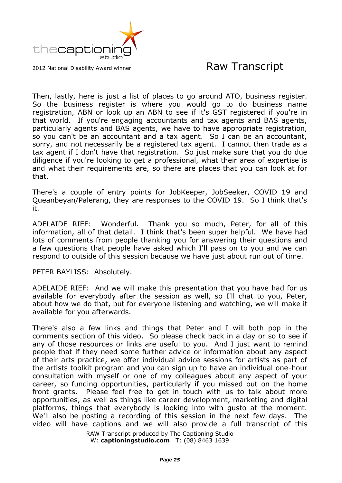

Then, lastly, here is just a list of places to go around ATO, business register. So the business register is where you would go to do business name registration, ABN or look up an ABN to see if it's GST registered if you're in that world. If you're engaging accountants and tax agents and BAS agents, particularly agents and BAS agents, we have to have appropriate registration, so you can't be an accountant and a tax agent. So I can be an accountant, sorry, and not necessarily be a registered tax agent. I cannot then trade as a tax agent if I don't have that registration. So just make sure that you do due diligence if you're looking to get a professional, what their area of expertise is and what their requirements are, so there are places that you can look at for that.

There's a couple of entry points for JobKeeper, JobSeeker, COVID 19 and Queanbeyan/Palerang, they are responses to the COVID 19. So I think that's it.

ADELAIDE RIEF: Wonderful. Thank you so much, Peter, for all of this information, all of that detail. I think that's been super helpful. We have had lots of comments from people thanking you for answering their questions and a few questions that people have asked which I'll pass on to you and we can respond to outside of this session because we have just about run out of time.

PETER BAYLISS: Absolutely.

ADELAIDE RIEF: And we will make this presentation that you have had for us available for everybody after the session as well, so I'll chat to you, Peter, about how we do that, but for everyone listening and watching, we will make it available for you afterwards.

There's also a few links and things that Peter and I will both pop in the comments section of this video. So please check back in a day or so to see if any of those resources or links are useful to you. And I just want to remind people that if they need some further advice or information about any aspect of their arts practice, we offer individual advice sessions for artists as part of the artists toolkit program and you can sign up to have an individual one-hour consultation with myself or one of my colleagues about any aspect of your career, so funding opportunities, particularly if you missed out on the home front grants. Please feel free to get in touch with us to talk about more opportunities, as well as things like career development, marketing and digital platforms, things that everybody is looking into with gusto at the moment. We'll also be posting a recording of this session in the next few days. The video will have captions and we will also provide a full transcript of this